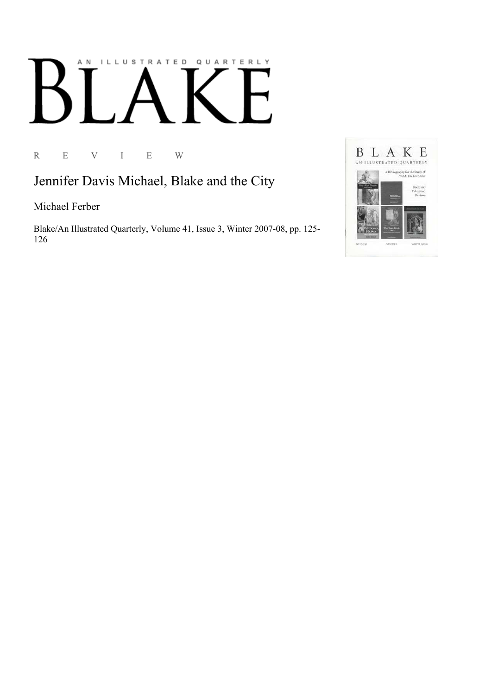## AN ILLUSTRATED QUARTERLY

R E V I E W

Jennifer Davis Michael, Blake and the City

Michael Ferber

Blake/An Illustrated Quarterly, Volume 41, Issue 3, Winter 2007-08, pp. 125-126

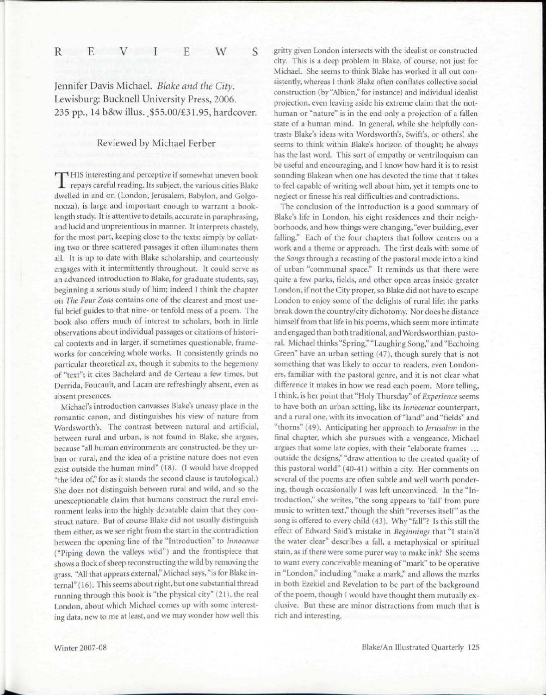Jennifer Davis Michael. *Blake and the City.*  Lewisburg: Bucknell University Press, 2006. 235 pp., 14 b&w illus. .\$55.00/£31.95, hardcover.

## Reviewed by Michael Ferber

THIS interesting and perceptive if somewhat uneven book repays careful reading. Its subject, the various cities Blake HIS interesting and perceptive if somewhat uneven book dwelled in and on (London, Jerusalem, Babylon, and Golgonooza), is large and important enough to warrant a booklength study. It is attentive to details, accurate in paraphrasing, and lucid and unpretentious in manner. It interprets chastely, for the most part, keeping close to the texts: simply by collating two or three scattered passages it often illuminates them all. It is up to date with Blake scholarship, and courteously engages with it intermittently throughout. It could serve as an advanced introduction to Blake, for graduate students, say, beginning a serious study of him; indeed I think the chapter on *The Four Zoas* contains one of the clearest and most useful brief guides to that nine- or tenfold mess of a poem. The book also offers much of interest to scholars, both in little observations about individual passages or citations of historical contexts and in larger, if sometimes questionable, frameworks for conceiving whole works. It consistently grinds no particular theoretical ax, though it submits to the hegemony of "text"; it cites Bachelard and de Certeau a few times, but Derrida, Foucault, and Lacan are refreshingly absent, even as absent presences.

Michael's introduction canvasses Blake's uneasy place in the romantic canon, and distinguishes his view of nature from Wordsworth's. The contrast between natural and artificial, between rural and urban, is not found in Blake, she argues, because "all human environments are constructed, be they urban or rural, and the idea of a pristine nature does not even exist outside the human mind" (18). (I would have dropped "the idea of," for as it stands the second clause is tautological.) She does not distinguish between rural and wild, and so the unexceptionable claim that humans construct the rural environment leaks into the highly debatable claim that they construct nature. But of course Blake did not usually distinguish them either, as we see right from the start in the contradiction between the opening line of the "Introduction" to *Innocence*  ("Piping down the valleys wild") and the frontispiece that shows a flock of sheep reconstructing the wild by removing the grass. "All that appears external," Michael says, "is for Blake internal" (16). This seems about right, but one substantial thread running through this book is "the physical city" (21), the real London, about which Michael comes up with some interesting data, new to me at least, and we may wonder how well this gritty given London intersects with the idealist or constructed city. This is a deep problem in Blake, of course, not just for Michael. She seems to think Blake has worked it all out consistently, whereas I think Blake often conflates collective social construction (by "Albion," for instance) and individual idealist projection, even leaving aside his extreme claim that the nothuman or "nature" is in the end only a projection of a fallen state of a human mind. In general, while she helpfully contrasts Blake's ideas with Wordsworth's, Swift's, or others', she seems to think within Blake's horizon of thought; he always has the last word. This sort of empathy or ventriloquism can be useful and encouraging, and I know how hard it is to resist sounding Blakean when one has devoted the time that it takes to feel capable of writing well about him, yet it tempts one to neglect or finesse his real difficulties and contradictions.

The conclusion of the introduction is a good summary of Blake's life in London, his eight residences and their neighborhoods, and how things were changing, "ever building, ever falling." Each of the four chapters that follow centers on a work and a theme or approach. The first deals with some of the *Songs* through a recasting of the pastoral mode into a kind of urban "communal space." It reminds us that there were quite a few parks, fields, and other open areas inside greater London, if not the City proper, so Blake did not have to escape London to enjoy some of the delights of rural life; the parks break down the country/city dichotomy. Nor does he distance himself from that life in his poems, which seem more intimate and engaged than both traditional, and Wordsworthian, pastoral. Michael thinks "Spring," "Laughing Song," and "Ecchoing Green" have an urban setting (47), though surely that is not something that was likely to occur to readers, even Londoners, familiar with the pastoral genre, and it is not clear what difference it makes in how we read each poem. More telling, I think, is her point that "Holy Thursday" *of Experience* seems to have both an urban setting, like its *Innocence* counterpart, and a rural one, with its invocation of "land" and "fields" and "thorns" (49). Anticipating her approach to *Jerusalem* in the final chapter, which she pursues with a vengeance, Michael argues that some late copies, with their "elaborate frames ... outside the designs," "draw attention to the created quality of this pastoral world" (40-41) within a city. Her comments on several of the poems are often subtle and well worth pondering, though occasionally I was left unconvinced. In the "Introduction," she writes, "the song appears to 'fall' from pure music to written text," though the shift "reverses itself" as the song is offered to every child (43). Why "fall"? Is this still the effect of Edward Said's mistake in *Beginnings* that "1 stain'd the water clear" describes a fall, a metaphysical or spiritual stain, as if there were some purer way to make ink? She seems to want every conceivable meaning of "mark" to be operative in "London," including "make a mark," and allows the marks in both Ezekiel and Revelation to be part of the background of the poem, though I would have thought them mutually exclusive. But these are minor distractions from much that is rich and interesting.